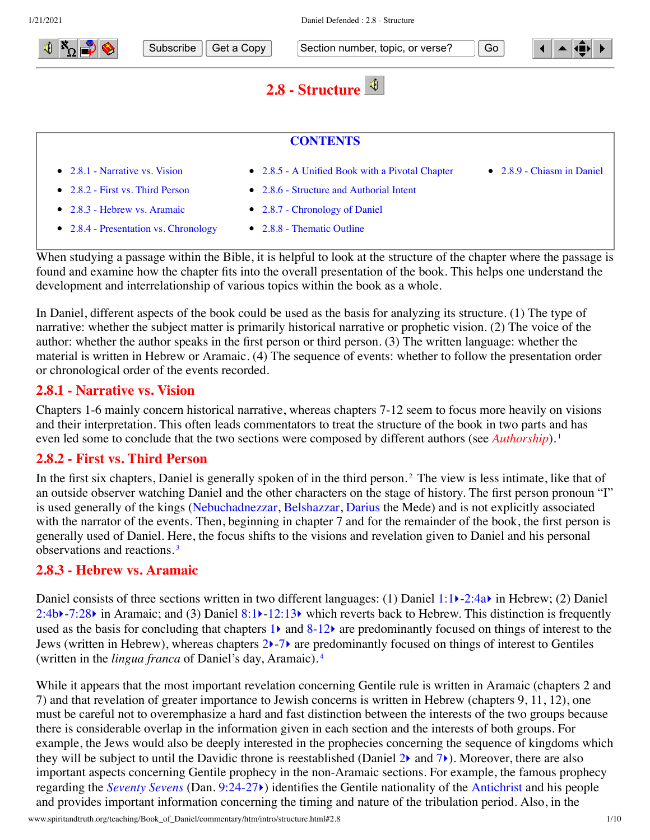

- [2.8.3 Hebrew vs. Aramaic](#page-0-2)
- [2.8.4 Presentation vs. Chronology](#page-1-0)
- <span id="page-0-4"></span><span id="page-0-3"></span><span id="page-0-1"></span><span id="page-0-0"></span>[2.8.7 - Chronology of Daniel](#page-2-0) • [2.8.8 - Thematic Outline](#page-4-0)

When studying a passage within the Bible, it is helpful to look at the structure of the chapter where the passage is found and examine how the chapter fits into the overall presentation of the book. This helps one understand the development and interrelationship of various topics within the book as a whole.

In Daniel, different aspects of the book could be used as the basis for analyzing its structure. (1) The type of narrative: whether the subject matter is primarily historical narrative or prophetic vision. (2) The voice of the author: whether the author speaks in the first person or third person. (3) The written language: whether the material is written in Hebrew or Aramaic. (4) The sequence of events: whether to follow the presentation order or chronological order of the events recorded.

### **2.8.1 - Narrative vs. Vision**

Chapters 1-6 mainly concern historical narrative, whereas chapters 7-12 seem to focus more heavily on visions and their interpretation. This often leads commentators to treat the structure of the book in two parts and has even led some to conclude that the two sections were composed by different authors (see *[Authorship](http://www.spiritandtruth.org/teaching/Book_of_Daniel/commentary/htm/intro/author.html#2.3)*).<sup>[1](#page-7-0)</sup>

### **2.8.2 - First vs. Third Person**

In the first six chapters, Daniel is generally spoken of in the third person.<sup>[2](#page-8-0)</sup> The view is less intimate, like that of an outside observer watching Daniel and the other characters on the stage of history. The first person pronoun "I" is used generally of the kings [\(Nebuchadnezzar](http://www.spiritandtruth.org/teaching/Book_of_Daniel/commentary/htm/glossary.html#5.2.62), [Belshazzar](http://www.spiritandtruth.org/teaching/Book_of_Daniel/commentary/htm/glossary.html#5.2.10), [Darius](http://www.spiritandtruth.org/teaching/Book_of_Daniel/commentary/htm/glossary.html#5.2.21) the Mede) and is not explicitly associated with the narrator of the events. Then, beginning in chapter 7 and for the remainder of the book, the first person is generally used of Daniel. Here, the focus shifts to the visions and revelation given to Daniel and his personal observations and reactions. [3](#page-8-1)

#### <span id="page-0-5"></span><span id="page-0-2"></span>**2.8.3 - Hebrew vs. Aramaic**

Daniel consists of three sections written in two different languages: (1) Daniel [1:1](http://www.spiritandtruth.org/bibles/nasb/b27c001.htm#Dan._C1V1) $\blacktriangleright$ -[2:4a](http://www.spiritandtruth.org/bibles/nasb/b27c002.htm#Dan._C2V4) $\blacktriangleright$  in Hebrew; (2) Daniel [2:4b](http://www.spiritandtruth.org/bibles/nasb/b27c002.htm#Dan._C2V4)) -[7:28](http://www.spiritandtruth.org/bibles/nasb/b27c007.htm#Dan._C7V28)) in Aramaic; and (3) Daniel [8:1](http://www.spiritandtruth.org/bibles/nasb/b27c008.htm#Dan._C8V1) $\blacktriangleright$ [-12:13](http://www.spiritandtruth.org/bibles/nasb/b27c012.htm#Dan._C12V13)) which reverts back to Hebrew. This distinction is frequently used as the basis for concluding that chapters  $1\blacktriangleright$  $1\blacktriangleright$  and  $8-12\blacktriangleright$  are predominantly focused on things of interest to the Jews (written in Hebrew), whereas chapters [2](http://www.spiritandtruth.org/bibles/nasb/b27c002.htm#Dan._C2V1) $\rightarrow$ -[7](http://www.spiritandtruth.org/bibles/nasb/b27c007.htm#Dan._C7V1) $\rightarrow$  are predominantly focused on things of interest to Gentiles (written in the *lingua franca* of Daniel's day, Aramaic). [4](#page-8-2)

<span id="page-0-6"></span>While it appears that the most important revelation concerning Gentile rule is written in Aramaic (chapters 2 and 7) and that revelation of greater importance to Jewish concerns is written in Hebrew (chapters 9, 11, 12), one must be careful not to overemphasize a hard and fast distinction between the interests of the two groups because there is considerable overlap in the information given in each section and the interests of both groups. For example, the Jews would also be deeply interested in the prophecies concerning the sequence of kingdoms which they will be subject to until the Davidic throne is reestablished (Daniel  $2\lambda$  and  $7\lambda$ ). Moreover, there are also important aspects concerning Gentile prophecy in the non-Aramaic sections. For example, the famous prophecy regarding the *[Seventy Sevens](http://www.spiritandtruth.org/teaching/Book_of_Daniel/commentary/htm/topics/seventy_sevens.html#4.6)* (Dan. [9:24-27](http://www.spiritandtruth.org/bibles/nasb/b27c009.htm#Dan._C9V24)[‣](http://www.spiritandtruth.org/teaching/Book_of_Daniel/commentary/htm/chapters/09.html#3.9.24)) identifies the Gentile nationality of the [Antichrist](http://www.spiritandtruth.org/teaching/Book_of_Daniel/commentary/htm/glossary.html#5.2.5) and his people and provides important information concerning the timing and nature of the tribulation period. Also, in the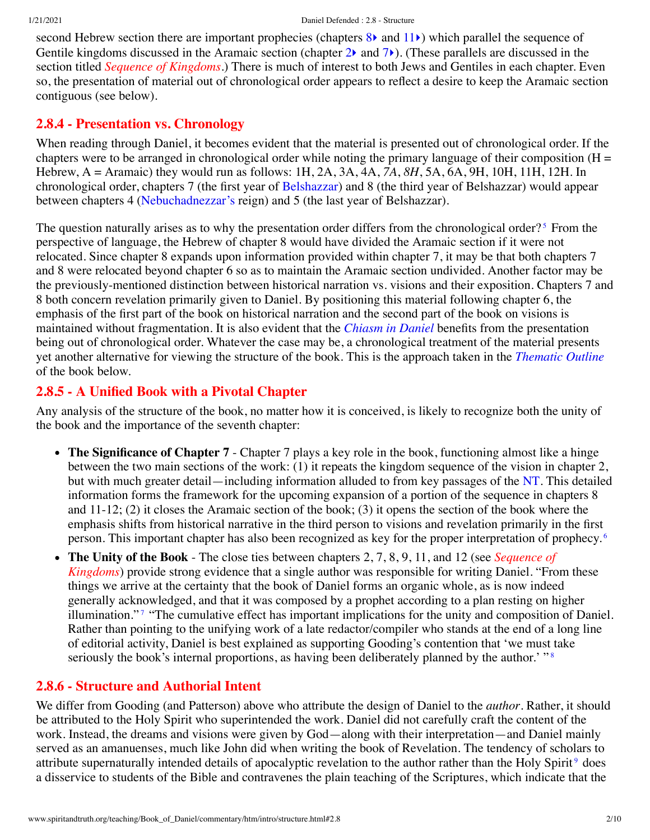second Hebrew section there are important prophecies (chapters [8](http://www.spiritandtruth.org/bibles/nasb/b27c008.htm#Dan._C8V1)) and [11](http://www.spiritandtruth.org/bibles/nasb/b27c011.htm#Dan._C11V1)) which parallel the sequence of Gentile kingdoms discussed in the Aramaic section (chapter  $2\lambda$  and  $7\lambda$  $7\lambda$ ). (These parallels are discussed in the section titled *[Sequence of Kingdoms](http://www.spiritandtruth.org/teaching/Book_of_Daniel/commentary/htm/topics/kingdoms.html#4.5)*.) There is much of interest to both Jews and Gentiles in each chapter. Even so, the presentation of material out of chronological order appears to reflect a desire to keep the Aramaic section contiguous (see below).

## <span id="page-1-0"></span>**2.8.4 - Presentation vs. Chronology**

When reading through Daniel, it becomes evident that the material is presented out of chronological order. If the chapters were to be arranged in chronological order while noting the primary language of their composition  $(H =$ Hebrew, A = Aramaic) they would run as follows: 1H, 2A, 3A, 4A, *7A*, *8H*, 5A, 6A, 9H, 10H, 11H, 12H. In chronological order, chapters 7 (the first year of [Belshazzar\)](http://www.spiritandtruth.org/teaching/Book_of_Daniel/commentary/htm/glossary.html#5.2.10) and 8 (the third year of Belshazzar) would appear between chapters 4 ([Nebuchadnezzar's](http://www.spiritandtruth.org/teaching/Book_of_Daniel/commentary/htm/glossary.html#5.2.62) reign) and 5 (the last year of Belshazzar).

<span id="page-1-3"></span>The question naturally arises as to why the presentation order differs from the chronological order?<sup>[5](#page-8-3)</sup> From the perspective of language, the Hebrew of chapter 8 would have divided the Aramaic section if it were not relocated. Since chapter 8 expands upon information provided within chapter 7, it may be that both chapters 7 and 8 were relocated beyond chapter 6 so as to maintain the Aramaic section undivided. Another factor may be the previously-mentioned distinction between historical narration vs. visions and their exposition. Chapters 7 and 8 both concern revelation primarily given to Daniel. By positioning this material following chapter 6, the emphasis of the first part of the book on historical narration and the second part of the book on visions is maintained without fragmentation. It is also evident that the *[Chiasm in Daniel](#page-6-0)* benefits from the presentation being out of chronological order. Whatever the case may be, a chronological treatment of the material presents yet another alternative for viewing the structure of the book. This is the approach taken in the *[Thematic Outline](#page-4-0)* of the book below.

# <span id="page-1-1"></span>**2.8.5 - A Unified Book with a Pivotal Chapter**

Any analysis of the structure of the book, no matter how it is conceived, is likely to recognize both the unity of the book and the importance of the seventh chapter:

- The Significance of Chapter 7 Chapter 7 plays a key role in the book, functioning almost like a hinge between the two main sections of the work: (1) it repeats the kingdom sequence of the vision in chapter 2, but with much greater detail—including information alluded to from key passages of the [NT](http://www.spiritandtruth.org/teaching/Book_of_Daniel/commentary/htm/glossary.html#5.2.64). This detailed information forms the framework for the upcoming expansion of a portion of the sequence in chapters 8 and 11-12; (2) it closes the Aramaic section of the book; (3) it opens the section of the book where the emphasis shifts from historical narrative in the third person to visions and revelation primarily in the first person. This important chapter has also been recognized as key for the proper interpretation of prophecy. [6](#page-8-4)
- <span id="page-1-6"></span><span id="page-1-5"></span><span id="page-1-4"></span>**The Unity of the Book** - The close ties between chapters 2, 7, 8, 9, 11, and 12 (see *Sequence of*  $\bullet$ *Kingdoms*[\) provide strong evidence that a single author was responsible for writing Daniel. "Fro](http://www.spiritandtruth.org/teaching/Book_of_Daniel/commentary/htm/topics/kingdoms.html#4.5)m these things we arrive at the certainty that the book of Daniel forms an organic whole, as is now indeed generally acknowledged, and that it was composed by a prophet according to a plan resting on higher illumination." [7](#page-8-5) "The cumulative effect has important implications for the unity and composition of Daniel. Rather than pointing to the unifying work of a late redactor/compiler who stands at the end of a long line of editorial activity, Daniel is best explained as supporting Gooding's contention that 'we must take seriously the book's internal proportions, as having been deliberately planned by the author.' "<sup>[8](#page-8-6)</sup>

# <span id="page-1-2"></span>**2.8.6 - Structure and Authorial Intent**

<span id="page-1-7"></span>We differ from Gooding (and Patterson) above who attribute the design of Daniel to the *author*. Rather, it should be attributed to the Holy Spirit who superintended the work. Daniel did not carefully craft the content of the work. Instead, the dreams and visions were given by God—along with their interpretation—and Daniel mainly served as an amanuenses, much like John did when writing the book of Revelation. The tendency of scholars to attribute supernaturally intended details of apocalyptic revelation to the author rather than the Holy Spirit<sup>[9](#page-8-7)</sup> does a disservice to students of the Bible and contravenes the plain teaching of the Scriptures, which indicate that the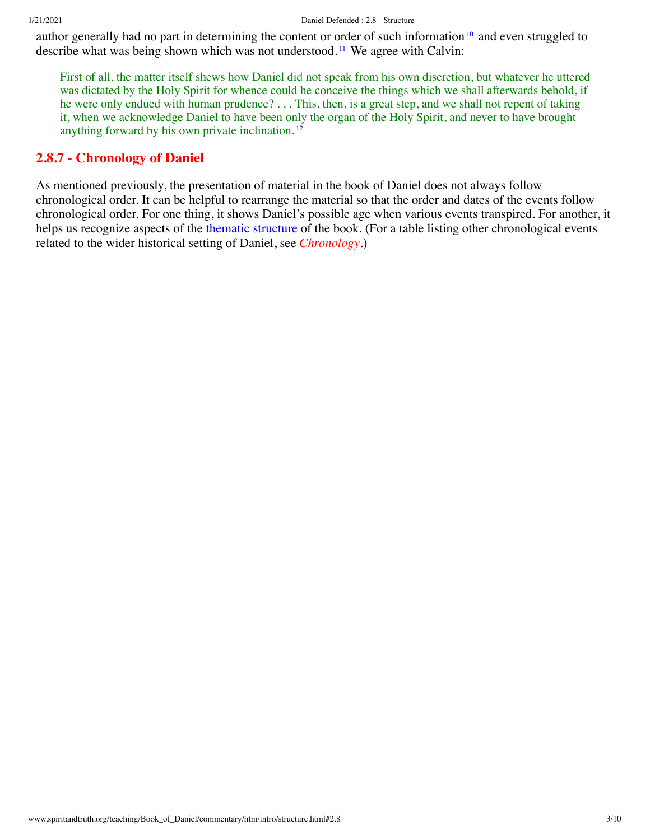author generally had no part in determining the content or order of such information <sup>[10](#page-8-8)</sup> and even struggled to describe what was being shown which was not understood. [11](#page-8-9) We agree with Calvin:

<span id="page-2-3"></span><span id="page-2-2"></span><span id="page-2-1"></span>First of all, the matter itself shews how Daniel did not speak from his own discretion, but whatever he uttered was dictated by the Holy Spirit for whence could he conceive the things which we shall afterwards behold, if he were only endued with human prudence? . . . This, then, is a great step, and we shall not repent of taking it, when we acknowledge Daniel to have been only the organ of the Holy Spirit, and never to have brought anything forward by his own private inclination. [12](#page-8-10)

## <span id="page-2-0"></span>**2.8.7 - Chronology of Daniel**

As mentioned previously, the presentation of material in the book of Daniel does not always follow chronological order. It can be helpful to rearrange the material so that the order and dates of the events follow chronological order. For one thing, it shows Daniel's possible age when various events transpired. For another, it helps us recognize aspects of the [thematic structure](#page-4-0) of the book. (For a table listing other chronological events related to the wider historical setting of Daniel, see *[Chronology](http://www.spiritandtruth.org/teaching/Book_of_Daniel/commentary/htm/topics/chronology.html#4.2)*.)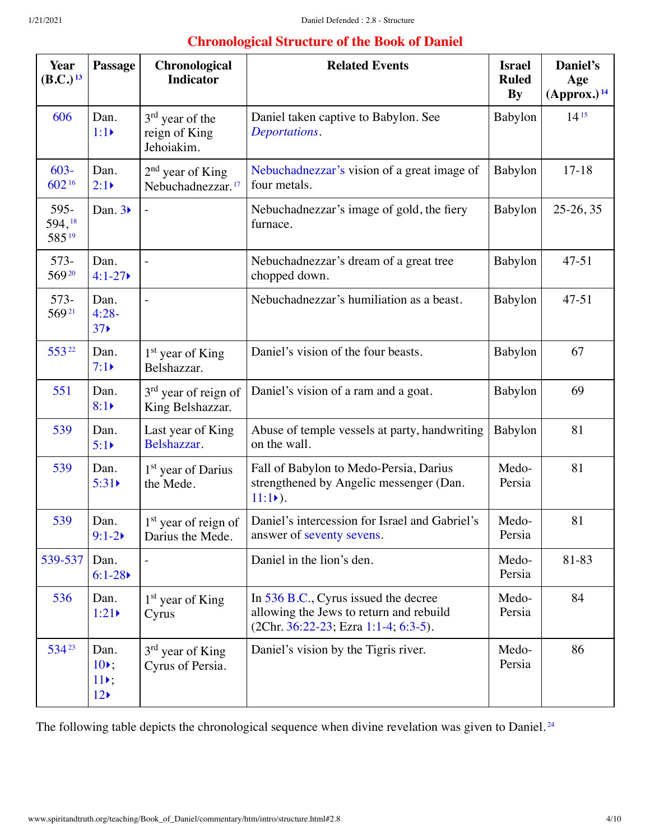# <span id="page-3-4"></span><span id="page-3-2"></span><span id="page-3-1"></span>**Chronological Structure of the Book of Daniel**

<span id="page-3-9"></span><span id="page-3-8"></span><span id="page-3-7"></span><span id="page-3-6"></span><span id="page-3-5"></span><span id="page-3-3"></span><span id="page-3-0"></span>

| <b>Year</b><br>(B.C.) <sup>13</sup> | Passage                                              | Chronological<br><b>Indicator</b>                          | <b>Related Events</b>                                                                                                   | <b>Israel</b><br><b>Ruled</b><br><b>By</b> | Daniel's<br>Age<br>(Approx.) <sup>14</sup> |
|-------------------------------------|------------------------------------------------------|------------------------------------------------------------|-------------------------------------------------------------------------------------------------------------------------|--------------------------------------------|--------------------------------------------|
| 606                                 | Dan.<br>$1:1 \triangleright$                         | 3 <sup>rd</sup> year of the<br>reign of King<br>Jehoiakim. | Daniel taken captive to Babylon. See<br>Deportations.                                                                   | Babylon                                    | $14^{15}$                                  |
| $603 -$<br>60216                    | Dan.<br>$2:1\triangleright$                          | $2nd$ year of King<br>Nebuchadnezzar. <sup>17</sup>        | Nebuchadnezzar's vision of a great image of<br>four metals.                                                             | Babylon                                    | $17 - 18$                                  |
| 595-<br>594,18<br>58519             | Dan. $3\blacktriangleright$                          |                                                            | Nebuchadnezzar's image of gold, the fiery<br>furnace.                                                                   | Babylon                                    | $25-26, 35$                                |
| $573-$<br>56920                     | Dan.<br>$4:1 - 27$                                   |                                                            | Nebuchadnezzar's dream of a great tree<br>chopped down.                                                                 | Babylon                                    | $47 - 51$                                  |
| 573-<br>56921                       | Dan.<br>$4:28-$<br>37 <sub>0</sub>                   |                                                            | Nebuchadnezzar's humiliation as a beast.                                                                                | Babylon                                    | $47 - 51$                                  |
| 55322                               | Dan.<br>$7:1\blacktriangleright$                     | 1 <sup>st</sup> year of King<br>Belshazzar.                | Daniel's vision of the four beasts.                                                                                     | Babylon                                    | 67                                         |
| 551                                 | Dan.<br>8:1                                          | 3 <sup>rd</sup> year of reign of<br>King Belshazzar.       | Daniel's vision of a ram and a goat.                                                                                    | Babylon                                    | 69                                         |
| 539                                 | Dan.<br>5:1                                          | Last year of King<br>Belshazzar.                           | Abuse of temple vessels at party, handwriting<br>on the wall.                                                           | Babylon                                    | 81                                         |
| 539                                 | Dan.<br>5:31                                         | 1 <sup>st</sup> year of Darius<br>the Mede.                | Fall of Babylon to Medo-Persia, Darius<br>strengthened by Angelic messenger (Dan.<br>$11:1)$ .                          | Medo-<br>Persia                            | 81                                         |
| 539                                 | Dan.<br>$9:1 - 2$                                    | 1 <sup>st</sup> year of reign of<br>Darius the Mede.       | Daniel's intercession for Israel and Gabriel's<br>answer of seventy sevens.                                             | Medo-<br>Persia                            | 81                                         |
| 539-537                             | Dan.<br>$6:1-28$                                     |                                                            | Daniel in the lion's den.                                                                                               | Medo-<br>Persia                            | 81-83                                      |
| 536                                 | Dan.<br>1:21                                         | 1 <sup>st</sup> year of King<br>Cyrus                      | In 536 B.C., Cyrus issued the decree<br>allowing the Jews to return and rebuild<br>(2Chr. 36:22-23; Ezra 1:1-4; 6:3-5). | Medo-<br>Persia                            | 84                                         |
| 53423                               | Dan.<br>$10$ .<br>$11$ ,<br>$12 \blacktriangleright$ | $3rd$ year of King<br>Cyrus of Persia.                     | Daniel's vision by the Tigris river.                                                                                    | Medo-<br>Persia                            | 86                                         |

<span id="page-3-11"></span><span id="page-3-10"></span>The following table depicts the chronological sequence when divine revelation was given to Daniel.<sup>[24](#page-9-6)</sup>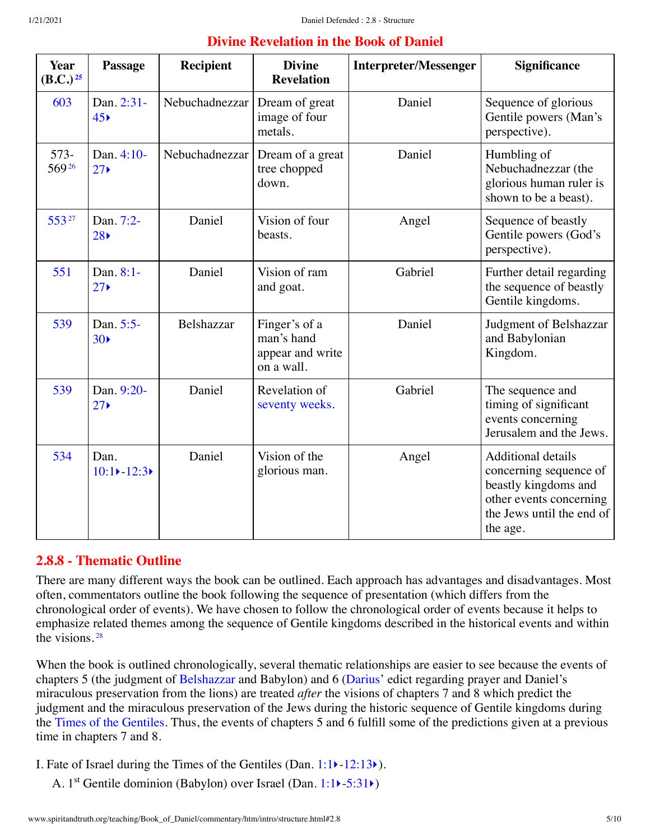<span id="page-4-2"></span><span id="page-4-1"></span>

| <b>Divine Revelation in the Book of Daniel</b> |                                        |                  |                                                               |                              |                                                                                        |  |  |  |
|------------------------------------------------|----------------------------------------|------------------|---------------------------------------------------------------|------------------------------|----------------------------------------------------------------------------------------|--|--|--|
| <b>Year</b><br>$(B.C.)^{25}$                   | <b>Passage</b>                         | <b>Recipient</b> | <b>Divine</b><br><b>Revelation</b>                            | <b>Interpreter/Messenger</b> | <b>Significance</b>                                                                    |  |  |  |
| 603                                            | Dan. 2:31-<br>45 <sub>8</sub>          | Nebuchadnezzar   | Dream of great<br>image of four<br>metals.                    | Daniel                       | Sequence of glorious<br>Gentile powers (Man's<br>perspective).                         |  |  |  |
| $573-$<br>56926                                | Dan. 4:10-<br>$27 \blacktriangleright$ | Nebuchadnezzar   | Dream of a great<br>tree chopped<br>down.                     | Daniel                       | Humbling of<br>Nebuchadnezzar (the<br>glorious human ruler is<br>shown to be a beast). |  |  |  |
| 55327                                          | Dan. 7:2-<br>28 <sub>5</sub>           | Daniel           | Vision of four<br>beasts.                                     | Angel                        | Sequence of beastly<br>Gentile powers (God's<br>perspective).                          |  |  |  |
| 551                                            | Dan. 8:1-<br>$27 \blacktriangleright$  | Daniel           | Vision of ram<br>and goat.                                    | Gabriel                      | Further detail regarding<br>the sequence of beastly<br>Gentile kingdoms.               |  |  |  |
| 539                                            | Dan. 5:5-<br>30 <sub>0</sub>           | Belshazzar       | Finger's of a<br>man's hand<br>appear and write<br>on a wall. | Daniel                       | Judgment of Belshazzar<br>and Babylonian<br>Kingdom.                                   |  |  |  |

Daniel Revelation of

Daniel Vision of the

[seventy weeks.](http://www.spiritandtruth.org/teaching/Book_of_Daniel/commentary/htm/glossary.html#5.2.82)

glorious man.

# <span id="page-4-0"></span>**2.8.8 - Thematic Outline**

 $10:1$   $-12:3$ 

<span id="page-4-3"></span>[539](http://www.spiritandtruth.org/teaching/Book_of_Daniel/commentary/htm/topics/chronology.html#52919) [Dan. 9:20-](http://www.spiritandtruth.org/bibles/nasb/b27c009.htm#Dan._C9V20) 27[‣](http://www.spiritandtruth.org/teaching/Book_of_Daniel/commentary/htm/chapters/09.html#3.9.20)

[534](http://www.spiritandtruth.org/teaching/Book_of_Daniel/commentary/htm/topics/chronology.html#52996) Dan.

There are many different ways the book can be outlined. Each approach has advantages and disadvantages. Most often, commentators outline the book following the sequence of presentation (which differs from the chronological order of events). We have chosen to follow the chronological order of events because it helps to emphasize related themes among the sequence of Gentile kingdoms described in the historical events and within the visions. [28](#page-9-10)

<span id="page-4-4"></span>When the book is outlined chronologically, several thematic relationships are easier to see because the events of chapters 5 (the judgment of [Belshazzar](http://www.spiritandtruth.org/teaching/Book_of_Daniel/commentary/htm/glossary.html#5.2.10) and Babylon) and 6 [\(Darius](http://www.spiritandtruth.org/teaching/Book_of_Daniel/commentary/htm/glossary.html#5.2.21)' edict regarding prayer and Daniel's miraculous preservation from the lions) are treated *after* the visions of chapters 7 and 8 which predict the judgment and the miraculous preservation of the Jews during the historic sequence of Gentile kingdoms during the [Times of the Gentiles.](http://www.spiritandtruth.org/teaching/Book_of_Daniel/commentary/htm/glossary.html#5.2.86) Thus, the events of chapters 5 and 6 fulfill some of the predictions given at a previous time in chapters 7 and 8.

I. Fate of Israel during the Times of the Gentiles (Dan. [1:1](http://www.spiritandtruth.org/bibles/nasb/b27c001.htm#Dan._C1V1)[‣](http://www.spiritandtruth.org/teaching/Book_of_Daniel/commentary/htm/chapters/01.html#3.1.1)-[12:13](http://www.spiritandtruth.org/bibles/nasb/b27c012.htm#Dan._C12V13)[‣](http://www.spiritandtruth.org/teaching/Book_of_Daniel/commentary/htm/chapters/12.html#3.12.13)).

A. 1<sup>st</sup> Gentile dominion (Babylon) over Israel (Dan. [1:1](http://www.spiritandtruth.org/bibles/nasb/b27c001.htm#Dan._C1V1)) - [5:31](http://www.spiritandtruth.org/bibles/nasb/b27c005.htm#Dan._C5V31))

Gabriel The sequence and

Angel Additional details

the age.

timing of significant events concerning Jerusalem and the Jews.

concerning sequence of beastly kingdoms and other events concerning the Jews until the end of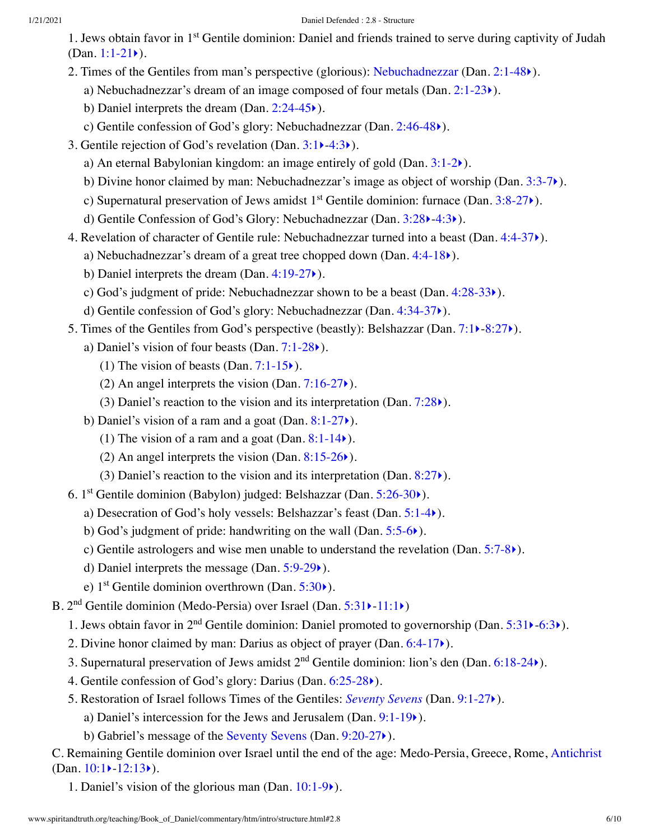- 1. Jews obtain favor in 1<sup>st</sup> Gentile dominion: Daniel and friends trained to serve during captivity of Judah (Dan.  $1:1-21$ ).
- 2. Times of the Gentiles from man's perspective (glorious): [Nebuchadnezzar](http://www.spiritandtruth.org/teaching/Book_of_Daniel/commentary/htm/glossary.html#5.2.62) (Dan. [2:1-48](http://www.spiritandtruth.org/bibles/nasb/b27c002.htm#Dan._C2V1)[‣](http://www.spiritandtruth.org/teaching/Book_of_Daniel/commentary/htm/chapters/02.html#3.2.1)).
	- a) Nebuchadnezzar's dream of an image composed of four metals  $(Dan. 2:1-23)$  $(Dan. 2:1-23)$  $(Dan. 2:1-23)$ .
	- b) Daniel interprets the dream (Dan. [2:24-45](http://www.spiritandtruth.org/bibles/nasb/b27c002.htm#Dan._C2V24)[‣](http://www.spiritandtruth.org/teaching/Book_of_Daniel/commentary/htm/chapters/02.html#3.2.24)).
	- c) Gentile confession of God's glory: Nebuchadnezzar (Dan. [2:46-48](http://www.spiritandtruth.org/bibles/nasb/b27c002.htm#Dan._C2V46)[‣](http://www.spiritandtruth.org/teaching/Book_of_Daniel/commentary/htm/chapters/02.html#3.2.46)).
- 3. Gentile rejection of God's revelation (Dan. [3:1](http://www.spiritandtruth.org/bibles/nasb/b27c003.htm#Dan._C3V1)[‣](http://www.spiritandtruth.org/teaching/Book_of_Daniel/commentary/htm/chapters/03.html#3.3.1)[-4:3](http://www.spiritandtruth.org/bibles/nasb/b27c004.htm#Dan._C4V3)[‣](http://www.spiritandtruth.org/teaching/Book_of_Daniel/commentary/htm/chapters/04.html#3.4.3)).
	- a) An eternal Babylonian kingdom: an image entirely of gold (Dan. [3:1-2](http://www.spiritandtruth.org/bibles/nasb/b27c003.htm#Dan._C3V1)[‣](http://www.spiritandtruth.org/teaching/Book_of_Daniel/commentary/htm/chapters/03.html#3.3.1)).
	- b) Divine honor claimed by man: Nebuchadnezzar's image as object of worship (Dan. [3:3-7](http://www.spiritandtruth.org/bibles/nasb/b27c003.htm#Dan._C3V3)[‣](http://www.spiritandtruth.org/teaching/Book_of_Daniel/commentary/htm/chapters/03.html#3.3.3)).
	- c) Supernatural preservation of Jews amidst  $1<sup>st</sup>$  Gentile dominion: furnace (Dan. [3:8-27](http://www.spiritandtruth.org/bibles/nasb/b27c003.htm#Dan._C3V8) $\blacktriangleright$ ).
	- d) Gentile Confession of God's Glory: Nebuchadnezzar (Dan. [3:28](http://www.spiritandtruth.org/bibles/nasb/b27c003.htm#Dan._C3V28)[‣](http://www.spiritandtruth.org/teaching/Book_of_Daniel/commentary/htm/chapters/03.html#3.3.28)-[4:3](http://www.spiritandtruth.org/bibles/nasb/b27c004.htm#Dan._C4V3)[‣](http://www.spiritandtruth.org/teaching/Book_of_Daniel/commentary/htm/chapters/04.html#3.4.3)).
- 4. Revelation of character of Gentile rule: Nebuchadnezzar turned into a beast (Dan. [4:4-37](http://www.spiritandtruth.org/bibles/nasb/b27c004.htm#Dan._C4V4)[‣](http://www.spiritandtruth.org/teaching/Book_of_Daniel/commentary/htm/chapters/04.html#3.4.4)).
	- a) Nebuchadnezzar's dream of a great tree chopped down (Dan. [4:4-18](http://www.spiritandtruth.org/bibles/nasb/b27c004.htm#Dan._C4V4) $\blacktriangleright$ ).
	- b) Daniel interprets the dream (Dan. [4:19-27](http://www.spiritandtruth.org/bibles/nasb/b27c004.htm#Dan._C4V19)[‣](http://www.spiritandtruth.org/teaching/Book_of_Daniel/commentary/htm/chapters/04.html#3.4.19)).
	- c) God's judgment of pride: Nebuchadnezzar shown to be a beast (Dan. [4:28-33](http://www.spiritandtruth.org/bibles/nasb/b27c004.htm#Dan._C4V28)[‣](http://www.spiritandtruth.org/teaching/Book_of_Daniel/commentary/htm/chapters/04.html#3.4.28)).
	- d) Gentile confession of God's glory: Nebuchadnezzar (Dan. [4:34-37](http://www.spiritandtruth.org/bibles/nasb/b27c004.htm#Dan._C4V34)[‣](http://www.spiritandtruth.org/teaching/Book_of_Daniel/commentary/htm/chapters/04.html#3.4.34)).
- 5. Times of the Gentiles from God's perspective (beastly): Belshazzar (Dan. [7:1](http://www.spiritandtruth.org/bibles/nasb/b27c007.htm#Dan._C7V1)[‣](http://www.spiritandtruth.org/teaching/Book_of_Daniel/commentary/htm/chapters/07.html#3.7.1)[-8:27](http://www.spiritandtruth.org/bibles/nasb/b27c008.htm#Dan._C8V27)[‣](http://www.spiritandtruth.org/teaching/Book_of_Daniel/commentary/htm/chapters/08.html#3.8.27)).
	- a) Daniel's vision of four beasts (Dan.  $7:1-28$ ).
		- (1) The vision of beasts (Dan.  $7:1-15$ .).
		- (2) An angel interprets the vision (Dan.  $7:16-27$ ).
		- (3) Daniel's reaction to the vision and its interpretation (Dan.  $7:28$ ).
	- b) Daniel's vision of a ram and a goat (Dan.  $8:1-27$ ).
		- (1) The vision of a ram and a goat (Dan.  $8:1-14$ ).
		- (2) An angel interprets the vision (Dan.  $8:15-26$ ).
		- (3) Daniel's reaction to the vision and its interpretation (Dan.  $8:27$ ).
- 6. 1<sup>st</sup> Gentile dominion (Babylon) judged: Belshazzar (Dan. [5:26-30](http://www.spiritandtruth.org/bibles/nasb/b27c005.htm#Dan._C5V26)<sup>\*</sup>).
	- a) Desecration of God's holy vessels: Belshazzar's feast (Dan. [5:1-4](http://www.spiritandtruth.org/bibles/nasb/b27c005.htm#Dan._C5V1)[‣](http://www.spiritandtruth.org/teaching/Book_of_Daniel/commentary/htm/chapters/05.html#3.5.1)).
	- b) God's judgment of pride: handwriting on the wall (Dan. [5:5-6](http://www.spiritandtruth.org/bibles/nasb/b27c005.htm#Dan._C5V5)[‣](http://www.spiritandtruth.org/teaching/Book_of_Daniel/commentary/htm/chapters/05.html#3.5.5)).
	- c) Gentile astrologers and wise men unable to understand the revelation (Dan.  $5:7-8$ ).
	- d) Daniel interprets the message (Dan. [5:9-29](http://www.spiritandtruth.org/bibles/nasb/b27c005.htm#Dan._C5V9)[‣](http://www.spiritandtruth.org/teaching/Book_of_Daniel/commentary/htm/chapters/05.html#3.5.9)).
	- e)  $1<sup>st</sup>$  Gentile dominion overthrown (Dan. [5:30](http://www.spiritandtruth.org/bibles/nasb/b27c005.htm#Dan._C5V30) $\blacktriangleright$ ).
- B. 2<sup>nd</sup> Gentile dominion (Medo-Persia) over Israel (Dan. [5:31](http://www.spiritandtruth.org/bibles/nasb/b27c005.htm#Dan._C5V31) > [-11:1](http://www.spiritandtruth.org/bibles/nasb/b27c011.htm#Dan._C11V1) >)
	- 1. Jews obtain favor in 2<sup>nd</sup> Gentile dominion: Daniel promoted to governorship (Dan. [5:31](http://www.spiritandtruth.org/bibles/nasb/b27c005.htm#Dan._C5V31) $\blacktriangleright$ [-6:3](http://www.spiritandtruth.org/bibles/nasb/b27c006.htm#Dan._C6V3) $\blacktriangleright$ ).
	- 2. Divine honor claimed by man: Darius as object of prayer (Dan. [6:4-17](http://www.spiritandtruth.org/bibles/nasb/b27c006.htm#Dan._C6V4)[‣](http://www.spiritandtruth.org/teaching/Book_of_Daniel/commentary/htm/chapters/06.html#3.6.4)).
	- 3. Supernatural preservation of Jews amidst  $2<sup>nd</sup>$  Gentile dominion: lion's den (Dan. [6:18-24](http://www.spiritandtruth.org/bibles/nasb/b27c006.htm#Dan._C6V18) $\blacktriangleright$ ).
	- 4. Gentile confession of God's glory: Darius (Dan. [6:25-28](http://www.spiritandtruth.org/bibles/nasb/b27c006.htm#Dan._C6V25)[‣](http://www.spiritandtruth.org/teaching/Book_of_Daniel/commentary/htm/chapters/06.html#3.6.25)).
	- 5. Restoration of Israel follows Times of the Gentiles: *[Seventy Sevens](http://www.spiritandtruth.org/teaching/Book_of_Daniel/commentary/htm/topics/seventy_sevens.html#4.6)* (Dan. [9:1-27](http://www.spiritandtruth.org/bibles/nasb/b27c009.htm#Dan._C9V1)[‣](http://www.spiritandtruth.org/teaching/Book_of_Daniel/commentary/htm/chapters/09.html#3.9.1)).
		- a) Daniel's intercession for the Jews and Jerusalem (Dan. [9:1-19](http://www.spiritandtruth.org/bibles/nasb/b27c009.htm#Dan._C9V1)[‣](http://www.spiritandtruth.org/teaching/Book_of_Daniel/commentary/htm/chapters/09.html#3.9.1)).
		- b) Gabriel's message of the [Seventy Sevens](http://www.spiritandtruth.org/teaching/Book_of_Daniel/commentary/htm/glossary.html#5.2.81) (Dan. [9:20-27](http://www.spiritandtruth.org/bibles/nasb/b27c009.htm#Dan._C9V20)[‣](http://www.spiritandtruth.org/teaching/Book_of_Daniel/commentary/htm/chapters/09.html#3.9.20)).

C. Remaining Gentile dominion over Israel until the end of the age: Medo-Persia, Greece, Rome, [Antichrist](http://www.spiritandtruth.org/teaching/Book_of_Daniel/commentary/htm/glossary.html#5.2.5) (Dan.  $10:1$  –  $12:13$ ).

1. Daniel's vision of the glorious man (Dan. [10:1-9](http://www.spiritandtruth.org/bibles/nasb/b27c010.htm#Dan._C10V1)[‣](http://www.spiritandtruth.org/teaching/Book_of_Daniel/commentary/htm/chapters/10.html#3.10.1)).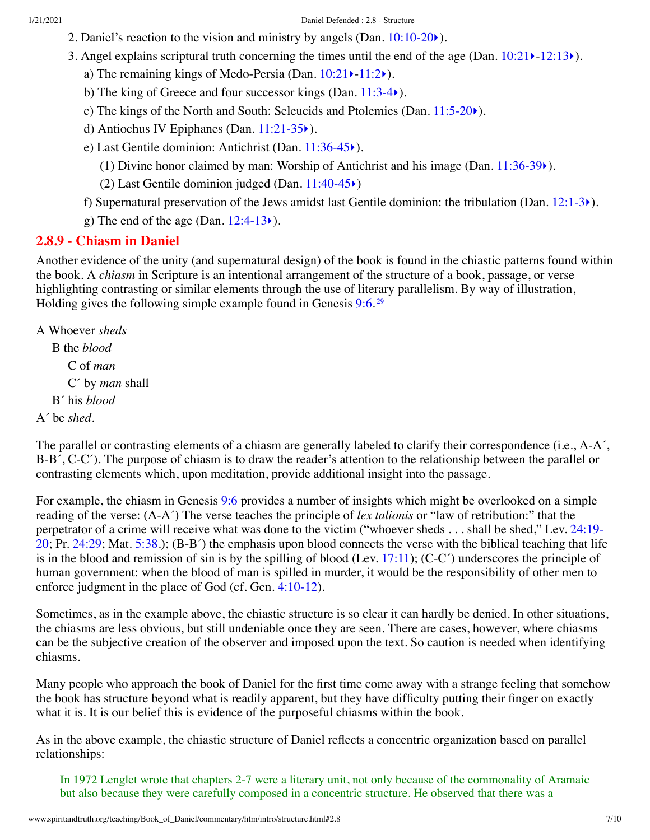- 2. Daniel's reaction to the vision and ministry by angels (Dan.  $10:10-20$ ).
- 3. Angel explains scriptural truth concerning the times until the end of the age (Dan.  $10:21 \rightarrow 12:13 \rightarrow$  $10:21 \rightarrow 12:13 \rightarrow$  $10:21 \rightarrow 12:13 \rightarrow$  $10:21 \rightarrow 12:13 \rightarrow$ ).
	- a) The remaining kings of Medo-Persia (Dan.  $10:21$ )- $11:2$ ).
	- b) The king of Greece and four successor kings (Dan. [11:3-4](http://www.spiritandtruth.org/bibles/nasb/b27c011.htm#Dan._C11V3) $\blacktriangleright$ ).
	- c) The kings of the North and South: Seleucids and Ptolemies (Dan. [11:5-20](http://www.spiritandtruth.org/bibles/nasb/b27c011.htm#Dan._C11V5)[‣](http://www.spiritandtruth.org/teaching/Book_of_Daniel/commentary/htm/chapters/11.html#3.11.5)).
	- d) Antiochus IV Epiphanes (Dan. [11:21-35](http://www.spiritandtruth.org/bibles/nasb/b27c011.htm#Dan._C11V21)[‣](http://www.spiritandtruth.org/teaching/Book_of_Daniel/commentary/htm/chapters/11.html#3.11.21)).
	- e) Last Gentile dominion: Antichrist (Dan. [11:36-45](http://www.spiritandtruth.org/bibles/nasb/b27c011.htm#Dan._C11V36)[‣](http://www.spiritandtruth.org/teaching/Book_of_Daniel/commentary/htm/chapters/11.html#3.11.36)).
		- (1) Divine honor claimed by man: Worship of Antichrist and his image (Dan.  $11:36-39$ ).
		- (2) Last Gentile dominion judged (Dan. [11:40-45](http://www.spiritandtruth.org/bibles/nasb/b27c011.htm#Dan._C11V40)[‣](http://www.spiritandtruth.org/teaching/Book_of_Daniel/commentary/htm/chapters/11.html#3.11.40))
	- f) Supernatural preservation of the Jews amidst last Gentile dominion: the tribulation (Dan.  $12:1-3)$  $12:1-3)$ ).
	- g) The end of the age (Dan.  $12:4-13$ ).

### <span id="page-6-0"></span>**2.8.9 - Chiasm in Daniel**

Another evidence of the unity (and supernatural design) of the book is found in the chiastic patterns found within the book. A *chiasm* in Scripture is an intentional arrangement of the structure of a book, passage, or verse highlighting contrasting or similar elements through the use of literary parallelism. By way of illustration, Holding gives the following simple example found in Genesis [9:6.](http://www.spiritandtruth.org/bibles/nasb/b01c009.htm#Gen._C9V6)<sup>[29](#page-9-11)</sup>

<span id="page-6-1"></span>A Whoever *sheds*

B the *blood* C of *man* C´ by *man* shall B´ his *blood* A´ be *shed*.

The parallel or contrasting elements of a chiasm are generally labeled to clarify their correspondence (i.e., A-A<sup>'</sup>, B-B´, C-C´). The purpose of chiasm is to draw the reader's attention to the relationship between the parallel or contrasting elements which, upon meditation, provide additional insight into the passage.

For example, the chiasm in Genesis [9:6](http://www.spiritandtruth.org/bibles/nasb/b01c009.htm#Gen._C9V6) provides a number of insights which might be overlooked on a simple reading of the verse: (A-A´) The verse teaches the principle of *lex talionis* or "law of retribution:" that the [perpetrator of a crime will receive what was done to the victim \("whoever sheds . . . shall be shed," Lev. 24:19-](http://www.spiritandtruth.org/bibles/nasb/b03c024.htm#Lev._C24V19) 20; Pr. [24:29;](http://www.spiritandtruth.org/bibles/nasb/b20c024.htm#Pr._C24V29) Mat. [5:38.](http://www.spiritandtruth.org/bibles/nasb/b40c005.htm#Mat._C5V38)); (B-B´) the emphasis upon blood connects the verse with the biblical teaching that life is in the blood and remission of sin is by the spilling of blood (Lev. [17:11](http://www.spiritandtruth.org/bibles/nasb/b03c017.htm#Lev._C17V11)); (C-C $\degree$ ) underscores the principle of human government: when the blood of man is spilled in murder, it would be the responsibility of other men to enforce judgment in the place of God (cf. Gen. [4:10-12](http://www.spiritandtruth.org/bibles/nasb/b01c004.htm#Gen._C4V10)).

Sometimes, as in the example above, the chiastic structure is so clear it can hardly be denied. In other situations, the chiasms are less obvious, but still undeniable once they are seen. There are cases, however, where chiasms can be the subjective creation of the observer and imposed upon the text. So caution is needed when identifying chiasms.

Many people who approach the book of Daniel for the first time come away with a strange feeling that somehow the book has structure beyond what is readily apparent, but they have difficulty putting their finger on exactly what it is. It is our belief this is evidence of the purposeful chiasms within the book.

As in the above example, the chiastic structure of Daniel reflects a concentric organization based on parallel relationships:

In 1972 Lenglet wrote that chapters 2-7 were a literary unit, not only because of the commonality of Aramaic but also because they were carefully composed in a concentric structure. He observed that there was a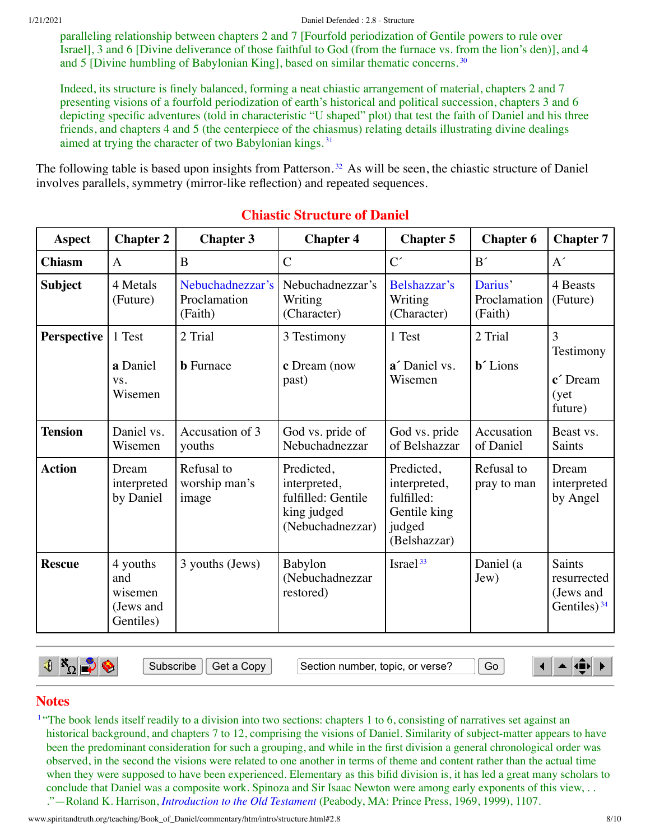paralleling relationship between chapters 2 and 7 [Fourfold periodization of Gentile powers to rule over Israel], 3 and 6 [Divine deliverance of those faithful to God (from the furnace vs. from the lion's den)], and 4 and 5 [Divine humbling of Babylonian King], based on similar thematic concerns. [30](#page-9-12)

Indeed, its structure is finely balanced, forming a neat chiastic arrangement of material, chapters 2 and 7 presenting visions of a fourfold periodization of earth's historical and political succession, chapters 3 and 6 depicting specific adventures (told in characteristic "U shaped" plot) that test the faith of Daniel and his three friends, and chapters 4 and 5 (the centerpiece of the chiasmus) relating details illustrating divine dealings aimed at trying the character of two Babylonian kings. [31](#page-9-13)

The following table is based upon insights from Patterson.<sup>[32](#page-9-14)</sup> As will be seen, the chiastic structure of Daniel involves parallels, symmetry (mirror-like reflection) and repeated sequences.

| <b>Aspect</b>  | <b>Chapter 2</b>                                     | <b>Chapter 3</b>                            | <b>Chapter 4</b>                                                                    | <b>Chapter 5</b>                                                                   | <b>Chapter 6</b>                       | <b>Chapter 7</b>                                     |
|----------------|------------------------------------------------------|---------------------------------------------|-------------------------------------------------------------------------------------|------------------------------------------------------------------------------------|----------------------------------------|------------------------------------------------------|
| <b>Chiasm</b>  | $\mathbf{A}$                                         | B                                           | $\overline{C}$                                                                      | $C^{\prime}$                                                                       | B'                                     | A'                                                   |
| <b>Subject</b> | 4 Metals<br>(Future)                                 | Nebuchadnezzar's<br>Proclamation<br>(Faith) | Nebuchadnezzar's<br>Writing<br>(Character)                                          | Belshazzar's<br>Writing<br>(Character)                                             | Darius'<br>Proclamation<br>(Faith)     | 4 Beasts<br>(Future)                                 |
| Perspective    | 1 Test<br>a Daniel<br>VS.<br>Wisemen                 | 2 Trial<br><b>b</b> Furnace                 | 3 Testimony<br>c Dream (now<br>past)                                                | 1 Test<br>a' Daniel vs.<br>Wisemen                                                 | 2 Trial<br><b>b</b> <sup>2</sup> Lions | 3<br>Testimony<br>c' Dream<br>(yet)<br>future)       |
| <b>Tension</b> | Daniel vs.<br>Wisemen                                | Accusation of 3<br>youths                   | God vs. pride of<br>Nebuchadnezzar                                                  | God vs. pride<br>of Belshazzar                                                     | Accusation<br>of Daniel                | Beast vs.<br>Saints                                  |
| <b>Action</b>  | Dream<br>interpreted<br>by Daniel                    | Refusal to<br>worship man's<br>image        | Predicted,<br>interpreted,<br>fulfilled: Gentile<br>king judged<br>(Nebuchadnezzar) | Predicted,<br>interpreted,<br>fulfilled:<br>Gentile king<br>judged<br>(Belshazzar) | Refusal to<br>pray to man              | Dream<br>interpreted<br>by Angel                     |
| <b>Rescue</b>  | 4 youths<br>and<br>wisemen<br>(Jews and<br>Gentiles) | 3 youths (Jews)                             | Babylon<br>(Nebuchadnezzar<br>restored)                                             | Israel <sup>33</sup>                                                               | Daniel (a<br>Jew)                      | Saints<br>resurrected<br>(Jews and<br>Gentiles) $34$ |

# <span id="page-7-3"></span><span id="page-7-2"></span><span id="page-7-1"></span>**Chiastic Structure of Daniel**

 $\parallel$   $\mathbb{R}_{\Omega}$   $\parallel$ 

Subscribe || Get a Copy | Gection number, topic, or verse? || Go

<span id="page-7-5"></span><span id="page-7-4"></span> $\blacksquare$  $\blacktriangle$  (ii)

### **Notes**

<span id="page-7-0"></span><sup>[1](#page-0-3)</sup> "The book lends itself readily to a division into two sections: chapters 1 to 6, consisting of narratives set against an historical background, and chapters 7 to 12, comprising the visions of Daniel. Similarity of subject-matter appears to have been the predominant consideration for such a grouping, and while in the first division a general chronological order was observed, in the second the visions were related to one another in terms of theme and content rather than the actual time when they were supposed to have been experienced. Elementary as this bifid division is, it has led a great many scholars to conclude that Daniel was a composite work. Spinoza and Sir Isaac Newton were among early exponents of this view, . . ."—Roland K. Harrison, *[Introduction](http://www.spiritandtruth.org/teaching/Book_of_Daniel/commentary/htm/bibliography.html#69294) to the Old Testament* (Peabody, MA: Prince Press, 1969, 1999), 1107.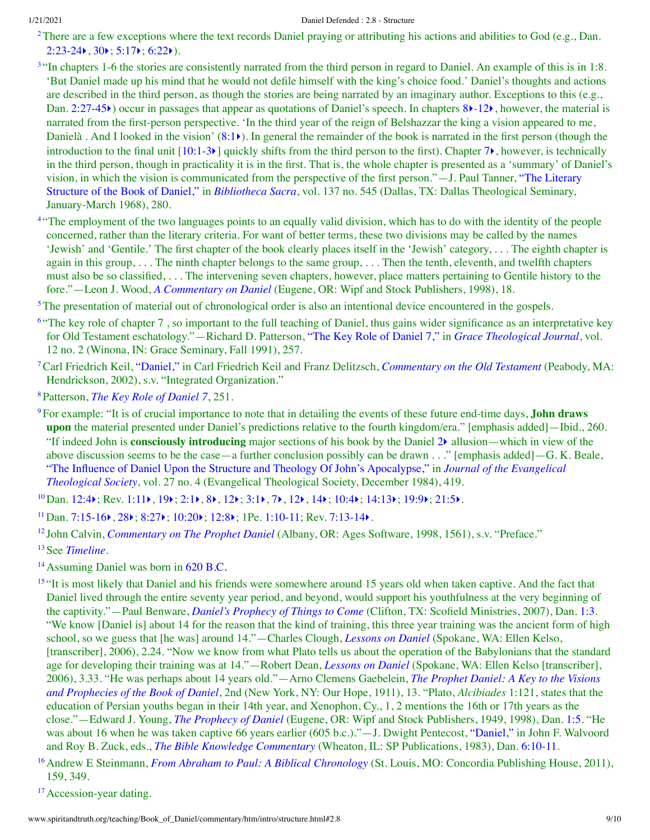<span id="page-8-0"></span><sup>[2](#page-0-4)</sup>There are a few exceptions where the text records Daniel praying or attributing his actions and abilities to God (e.g., Dan.  $2:23-24$ ,  $30$ ;  $5:17$ ;  $6:22$ ).

- <span id="page-8-1"></span><sup>[3](#page-0-5)</sup> "In chapters 1-6 the stories are consistently narrated from the third person in regard to Daniel. An example of this is in 1:8. 'But Daniel made up his mind that he would not defile himself with the king's choice food.' Daniel's thoughts and actions are described in the third person, as though the stories are being narrated by an imaginary author. Exceptions to this (e.g., Dan. [2:27-45](http://www.spiritandtruth.org/bibles/nasb/b27c002.htm#Dan._C2V27) $\blacktriangleright$ ) occur in passages that appear as quotations of Daniel's speech. In chapters [8](http://www.spiritandtruth.org/bibles/nasb/b27c008.htm#Dan._C8V1) $\blacktriangleright$ [-12](http://www.spiritandtruth.org/bibles/nasb/b27c012.htm#Dan._C12V1) $\blacktriangleright$ , however, the material is narrated from the first-person perspective. 'In the third year of the reign of Belshazzar the king a vision appeared to me, Danielà. And I looked in the vision'  $(8:1)$  $(8:1)$  $(8:1)$ ). In general the remainder of the book is narrated in the first person (though the introduction to the final unit  $[10:1-3)$  $[10:1-3)$  quickly shifts from the third person to the first). Chapter  $7\epsilon$  $7\epsilon$ , however, is technically in the third person, though in practicality it is in the first. That is, the whole chapter is presented as a 'summary' of Daniel's vision, in which the vision is [communicated](http://www.spiritandtruth.org/teaching/Book_of_Daniel/commentary/htm/bibliography.html#69535) from the perspective of the first person."—J. Paul Tanner, "The Literary Structure of the Book of Daniel," in *[Bibliotheca](http://www.spiritandtruth.org/teaching/Book_of_Daniel/commentary/htm/bibliography.html#69145) Sacra*, vol. 137 no. 545 (Dallas, TX: Dallas Theological Seminary, January-March 1968), 280.
- <span id="page-8-2"></span><sup>[4](#page-0-6)</sup> "The employment of the two languages points to an equally valid division, which has to do with the identity of the people concerned, rather than the literary criteria. For want of better terms, these two divisions may be called by the names 'Jewish' and 'Gentile.' The first chapter of the book clearly places itself in the 'Jewish' category, . . . The eighth chapter is again in this group, . . . The ninth chapter belongs to the same group, . . . Then the tenth, eleventh, and twelfth chapters must also be so classified, . . . The intervening seven chapters, however, place matters pertaining to Gentile history to the fore."—Leon J. Wood, *A [Commentary](http://www.spiritandtruth.org/teaching/Book_of_Daniel/commentary/htm/bibliography.html#69587) on Daniel* (Eugene, OR: Wipf and Stock Publishers, 1998), 18.

<span id="page-8-3"></span><sup>[5](#page-1-3)</sup>The presentation of material out of chronological order is also an intentional device encountered in the gospels.

- <span id="page-8-4"></span><sup>[6](#page-1-4) "</sup>The key role of chapter 7, so important to the full teaching of Daniel, thus gains wider significance as an interpretative key for Old Testament eschatology."—Richard D. Patterson, "The Key Role of [Daniel](http://www.spiritandtruth.org/teaching/Book_of_Daniel/commentary/htm/bibliography.html#69451) 7," in *Grace [Theological](http://www.spiritandtruth.org/teaching/Book_of_Daniel/commentary/htm/bibliography.html#69276) Journal*, vol. 12 no. 2 (Winona, IN: Grace Seminary, Fall 1991), 257.
- <span id="page-8-5"></span>[7](#page-1-5)Carl Friedrich Keil, ["Daniel,"](http://www.spiritandtruth.org/teaching/Book_of_Daniel/commentary/htm/bibliography.html#69361) in Carl Friedrich Keil and Franz Delitzsch, *[Commentary](http://www.spiritandtruth.org/teaching/Book_of_Daniel/commentary/htm/bibliography.html#69355) on the Old Testament* (Peabody, MA: Hendrickson, 2002), s.v. "Integrated Organization."
- <span id="page-8-6"></span>[8](#page-1-6)Patterson, *The Key Role of [Daniel](http://www.spiritandtruth.org/teaching/Book_of_Daniel/commentary/htm/bibliography.html#69451) 7*, 251.
- <span id="page-8-7"></span>[9](#page-1-7)For example: "It is of crucial importance to note that in detailing the events of these future end-time days, **John draws upon** the material presented under Daniel's predictions relative to the fourth kingdom/era." [emphasis added]—Ibid., 260. "If indeed John is **consciously introducing** major sections of his book by the Daniel [2](http://www.spiritandtruth.org/bibles/nasb/b27c002.htm#Dan._C2V1)[‣](http://www.spiritandtruth.org/teaching/Book_of_Daniel/commentary/htm/chapters/02.html#3.2.1) allusion—which in view of the above discussion seems to be the case—a further conclusion possibly can be drawn . . ." [emphasis added] - G. K. Beale, "The Influence of Daniel Upon the Structure and Theology Of John's [Apocalypse,"](http://www.spiritandtruth.org/teaching/Book_of_Daniel/commentary/htm/bibliography.html#69333) in *Journal of the Evangelical Theological Society*, vol. 27 no. 4 (Evangelical Theological Society, December 1984), 419.
- <span id="page-8-8"></span> $^{10}$  $^{10}$  $^{10}$ Dan. [12:4](http://www.spiritandtruth.org/bibles/nasb/b27c012.htm#Dan._C12V4) $\rangle$ ; Rev. [1:11](http://www.spiritandtruth.org/bibles/nasb/b66c001.htm#Rev._C1V11) $\rangle$ , [19](http://www.spiritandtruth.org/bibles/nasb/b66c001.htm#Rev._C1V19) $\rangle$ ; [2:1](http://www.spiritandtruth.org/bibles/nasb/b66c002.htm#Rev._C2V1) $\rangle$ , [8](http://www.spiritandtruth.org/bibles/nasb/b66c002.htm#Rev._C2V8) $\rangle$ , [12](http://www.spiritandtruth.org/bibles/nasb/b66c003.htm#Rev._C3V12) $\rangle$ ; [3:1](http://www.spiritandtruth.org/bibles/nasb/b66c003.htm#Rev._C3V1) $\rangle$ , [7](http://www.spiritandtruth.org/bibles/nasb/b66c003.htm#Rev._C3V7) $\rangle$ , 12 $\rangle$ , [14](http://www.spiritandtruth.org/bibles/nasb/b66c003.htm#Rev._C3V14) $\rangle$ ; [10:4](http://www.spiritandtruth.org/bibles/nasb/b66c010.htm#Rev._C10V4) $\rangle$ ; [14:13](http://www.spiritandtruth.org/bibles/nasb/b66c014.htm#Rev._C14V13) $\rangle$ ; [19:9](http://www.spiritandtruth.org/bibles/nasb/b66c019.htm#Rev._C19V9) $\rangle$ ; [21:5](http://www.spiritandtruth.org/bibles/nasb/b66c021.htm#Rev._C21V5) $\rangle$ .
- <span id="page-8-9"></span><sup>[11](#page-2-2)</sup> Dan. [7:15-16](http://www.spiritandtruth.org/bibles/nasb/b27c007.htm#Dan._C7V15) $\blacktriangleright$ , [28](http://www.spiritandtruth.org/bibles/nasb/b27c007.htm#Dan._C7V28) $\blacktriangleright$ ; [8:27](http://www.spiritandtruth.org/bibles/nasb/b27c008.htm#Dan._C8V27) $\blacktriangleright$ ; [10:20](http://www.spiritandtruth.org/bibles/nasb/b27c010.htm#Dan._C10V20) $\blacktriangleright$ ; [12:8](http://www.spiritandtruth.org/bibles/nasb/b27c012.htm#Dan._C12V8) $\blacktriangleright$ ; 1Pe. [1:10-11](http://www.spiritandtruth.org/bibles/nasb/b60c001.htm#1Pe._C1V10); Rev. [7:13-14](http://www.spiritandtruth.org/bibles/nasb/b66c007.htm#Rev._C7V13) $\blacktriangleright$ .
- <span id="page-8-10"></span>[12](#page-2-3) John Calvin, *[Commentary](http://www.spiritandtruth.org/teaching/Book_of_Daniel/commentary/htm/bibliography.html#69188) on The Prophet Daniel* (Albany, OR: Ages Software, 1998, 1561), s.v. "Preface."
- <span id="page-8-11"></span>[13](#page-3-0)See *[Timeline](http://www.spiritandtruth.org/teaching/Book_of_Daniel/commentary/htm/topics/chronology.html#4.2.4)*.
- <span id="page-8-12"></span><sup>[14](#page-3-1)</sup> Assuming Daniel was born in 620 [B.C.](http://www.spiritandtruth.org/teaching/Book_of_Daniel/commentary/htm/topics/chronology.html#52515)
- <span id="page-8-13"></span><sup>[15](#page-3-2)</sup> "It is most likely that Daniel and his friends were somewhere around 15 years old when taken captive. And the fact that Daniel lived through the entire seventy year period, and beyond, would support his youthfulness at the very beginning of the captivity."—Paul Benware, *Daniel's [Prophecy](http://www.spiritandtruth.org/teaching/Book_of_Daniel/commentary/htm/bibliography.html#69161) of Things to Come* (Clifton, TX: Scofield Ministries, 2007), Dan. [1:3](http://www.spiritandtruth.org/bibles/nasb/b27c001.htm#Dan._C1V3). "We know [Daniel is] about 14 for the reason that the kind of training, this three year training was the ancient form of high school, so we guess that [he was] around 14."—Charles Clough, *[Lessons](http://www.spiritandtruth.org/teaching/Book_of_Daniel/commentary/htm/bibliography.html#69201) on Daniel* (Spokane, WA: Ellen Kelso, [transcriber], 2006), 2.24. "Now we know from what Plato tells us about the operation of the Babylonians that the standard age for developing their training was at 14."—Robert Dean, *[Lessons](http://www.spiritandtruth.org/teaching/Book_of_Daniel/commentary/htm/bibliography.html#69224) on Daniel* (Spokane, WA: Ellen Kelso [transcriber], 2006), 3.33. "He was perhaps about 14 years [old."—Arno](http://www.spiritandtruth.org/teaching/Book_of_Daniel/commentary/htm/bibliography.html#69279) Clemens Gaebelein, *The Prophet Daniel: A Key to the Visions and Prophecies of the Book of Daniel*, 2nd (New York, NY: Our Hope, 1911), 13. "Plato, *Alcibiades* 1:121, states that the education of Persian youths began in their 14th year, and Xenophon, Cy., 1, 2 mentions the 16th or 17th years as the close."—Edward J. Young, *The [Prophecy](http://www.spiritandtruth.org/teaching/Book_of_Daniel/commentary/htm/bibliography.html#69601) of Daniel* (Eugene, OR: Wipf and Stock Publishers, 1949, 1998), Dan. [1:5](http://www.spiritandtruth.org/bibles/nasb/b27c001.htm#Dan._C1V5). "He was about 16 when he was taken captive 66 years earlier (605 b.c.)."—J. Dwight Pentecost, ["Daniel,"](http://www.spiritandtruth.org/teaching/Book_of_Daniel/commentary/htm/bibliography.html#69455) in John F. Walvoord and Roy B. Zuck, eds., *The Bible Knowledge [Commentary](http://www.spiritandtruth.org/teaching/Book_of_Daniel/commentary/htm/bibliography.html#69136)* (Wheaton, IL: SP Publications, 1983), Dan. [6:10-11.](http://www.spiritandtruth.org/bibles/nasb/b27c006.htm#Dan._C6V10)
- <span id="page-8-14"></span>[16](#page-3-3)Andrew E Steinmann, *From Abraham to Paul: A Biblical [Chronology](http://www.spiritandtruth.org/teaching/Book_of_Daniel/commentary/htm/bibliography.html#69508)* (St. Louis, MO: Concordia Publishing House, 2011), 159, 349.
- <span id="page-8-15"></span><sup>[17](#page-3-4)</sup> Accession-year dating.